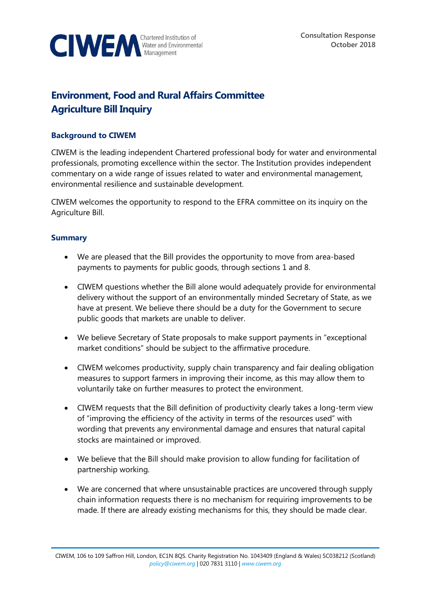

# **Environment, Food and Rural Affairs Committee Agriculture Bill Inquiry**

## **Background to CIWEM**

CIWEM is the leading independent Chartered professional body for water and environmental professionals, promoting excellence within the sector. The Institution provides independent commentary on a wide range of issues related to water and environmental management, environmental resilience and sustainable development.

CIWEM welcomes the opportunity to respond to the EFRA committee on its inquiry on the Agriculture Bill.

#### **Summary**

- We are pleased that the Bill provides the opportunity to move from area-based payments to payments for public goods, through sections 1 and 8.
- CIWEM questions whether the Bill alone would adequately provide for environmental delivery without the support of an environmentally minded Secretary of State, as we have at present. We believe there should be a duty for the Government to secure public goods that markets are unable to deliver.
- We believe Secretary of State proposals to make support payments in "exceptional market conditions" should be subject to the affirmative procedure.
- CIWEM welcomes productivity, supply chain transparency and fair dealing obligation measures to support farmers in improving their income, as this may allow them to voluntarily take on further measures to protect the environment.
- CIWEM requests that the Bill definition of productivity clearly takes a long-term view of "improving the efficiency of the activity in terms of the resources used" with wording that prevents any environmental damage and ensures that natural capital stocks are maintained or improved.
- We believe that the Bill should make provision to allow funding for facilitation of partnership working.
- We are concerned that where unsustainable practices are uncovered through supply chain information requests there is no mechanism for requiring improvements to be made. If there are already existing mechanisms for this, they should be made clear.

CIWEM, 106 to 109 Saffron Hill, London, EC1N 8QS. Charity Registration No. 1043409 (England & Wales) SC038212 (Scotland) *[policy@ciwem.org](mailto:policy@ciwem.org)* | 020 7831 3110 | *[www.ciwem.org](http://www.ciwem.org/)*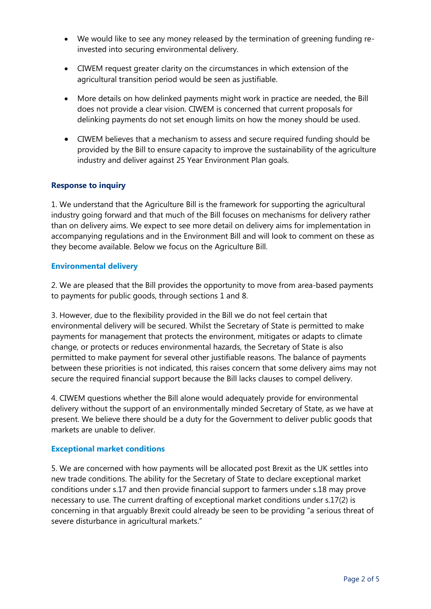- We would like to see any money released by the termination of greening funding reinvested into securing environmental delivery.
- CIWEM request greater clarity on the circumstances in which extension of the agricultural transition period would be seen as justifiable.
- More details on how delinked payments might work in practice are needed, the Bill does not provide a clear vision. CIWEM is concerned that current proposals for delinking payments do not set enough limits on how the money should be used.
- CIWEM believes that a mechanism to assess and secure required funding should be provided by the Bill to ensure capacity to improve the sustainability of the agriculture industry and deliver against 25 Year Environment Plan goals.

## **Response to inquiry**

1. We understand that the Agriculture Bill is the framework for supporting the agricultural industry going forward and that much of the Bill focuses on mechanisms for delivery rather than on delivery aims. We expect to see more detail on delivery aims for implementation in accompanying regulations and in the Environment Bill and will look to comment on these as they become available. Below we focus on the Agriculture Bill.

#### **Environmental delivery**

2. We are pleased that the Bill provides the opportunity to move from area-based payments to payments for public goods, through sections 1 and 8.

3. However, due to the flexibility provided in the Bill we do not feel certain that environmental delivery will be secured. Whilst the Secretary of State is permitted to make payments for management that protects the environment, mitigates or adapts to climate change, or protects or reduces environmental hazards, the Secretary of State is also permitted to make payment for several other justifiable reasons. The balance of payments between these priorities is not indicated, this raises concern that some delivery aims may not secure the required financial support because the Bill lacks clauses to compel delivery.

4. CIWEM questions whether the Bill alone would adequately provide for environmental delivery without the support of an environmentally minded Secretary of State, as we have at present. We believe there should be a duty for the Government to deliver public goods that markets are unable to deliver.

#### **Exceptional market conditions**

5. We are concerned with how payments will be allocated post Brexit as the UK settles into new trade conditions. The ability for the Secretary of State to declare exceptional market conditions under s.17 and then provide financial support to farmers under s.18 may prove necessary to use. The current drafting of exceptional market conditions under s.17(2) is concerning in that arguably Brexit could already be seen to be providing "a serious threat of severe disturbance in agricultural markets."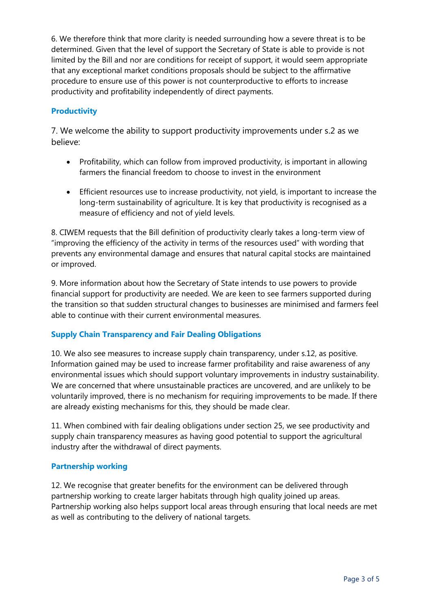6. We therefore think that more clarity is needed surrounding how a severe threat is to be determined. Given that the level of support the Secretary of State is able to provide is not limited by the Bill and nor are conditions for receipt of support, it would seem appropriate that any exceptional market conditions proposals should be subject to the affirmative procedure to ensure use of this power is not counterproductive to efforts to increase productivity and profitability independently of direct payments.

# **Productivity**

7. We welcome the ability to support productivity improvements under s.2 as we believe:

- Profitability, which can follow from improved productivity, is important in allowing farmers the financial freedom to choose to invest in the environment
- Efficient resources use to increase productivity, not yield, is important to increase the long-term sustainability of agriculture. It is key that productivity is recognised as a measure of efficiency and not of yield levels.

8. CIWEM requests that the Bill definition of productivity clearly takes a long-term view of "improving the efficiency of the activity in terms of the resources used" with wording that prevents any environmental damage and ensures that natural capital stocks are maintained or improved.

9. More information about how the Secretary of State intends to use powers to provide financial support for productivity are needed. We are keen to see farmers supported during the transition so that sudden structural changes to businesses are minimised and farmers feel able to continue with their current environmental measures.

## **Supply Chain Transparency and Fair Dealing Obligations**

10. We also see measures to increase supply chain transparency, under s.12, as positive. Information gained may be used to increase farmer profitability and raise awareness of any environmental issues which should support voluntary improvements in industry sustainability. We are concerned that where unsustainable practices are uncovered, and are unlikely to be voluntarily improved, there is no mechanism for requiring improvements to be made. If there are already existing mechanisms for this, they should be made clear.

11. When combined with fair dealing obligations under section 25, we see productivity and supply chain transparency measures as having good potential to support the agricultural industry after the withdrawal of direct payments.

## **Partnership working**

12. We recognise that greater benefits for the environment can be delivered through partnership working to create larger habitats through high quality joined up areas. Partnership working also helps support local areas through ensuring that local needs are met as well as contributing to the delivery of national targets.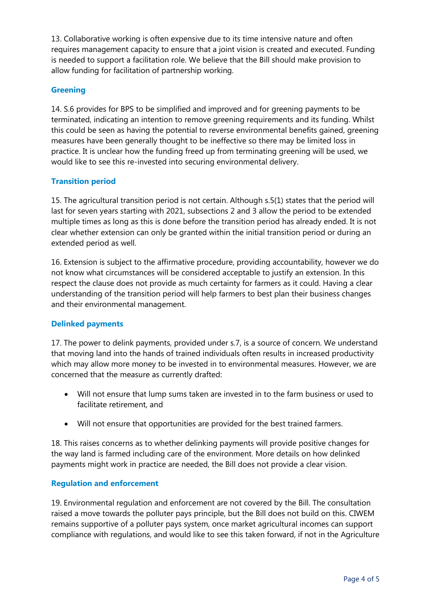13. Collaborative working is often expensive due to its time intensive nature and often requires management capacity to ensure that a joint vision is created and executed. Funding is needed to support a facilitation role. We believe that the Bill should make provision to allow funding for facilitation of partnership working.

## **Greening**

14. S.6 provides for BPS to be simplified and improved and for greening payments to be terminated, indicating an intention to remove greening requirements and its funding. Whilst this could be seen as having the potential to reverse environmental benefits gained, greening measures have been generally thought to be ineffective so there may be limited loss in practice. It is unclear how the funding freed up from terminating greening will be used, we would like to see this re-invested into securing environmental delivery.

## **Transition period**

15. The agricultural transition period is not certain. Although s.5(1) states that the period will last for seven years starting with 2021, subsections 2 and 3 allow the period to be extended multiple times as long as this is done before the transition period has already ended. It is not clear whether extension can only be granted within the initial transition period or during an extended period as well.

16. Extension is subject to the affirmative procedure, providing accountability, however we do not know what circumstances will be considered acceptable to justify an extension. In this respect the clause does not provide as much certainty for farmers as it could. Having a clear understanding of the transition period will help farmers to best plan their business changes and their environmental management.

#### **Delinked payments**

17. The power to delink payments, provided under s.7, is a source of concern. We understand that moving land into the hands of trained individuals often results in increased productivity which may allow more money to be invested in to environmental measures. However, we are concerned that the measure as currently drafted:

- Will not ensure that lump sums taken are invested in to the farm business or used to facilitate retirement, and
- Will not ensure that opportunities are provided for the best trained farmers.

18. This raises concerns as to whether delinking payments will provide positive changes for the way land is farmed including care of the environment. More details on how delinked payments might work in practice are needed, the Bill does not provide a clear vision.

#### **Regulation and enforcement**

19. Environmental regulation and enforcement are not covered by the Bill. The consultation raised a move towards the polluter pays principle, but the Bill does not build on this. CIWEM remains supportive of a polluter pays system, once market agricultural incomes can support compliance with regulations, and would like to see this taken forward, if not in the Agriculture